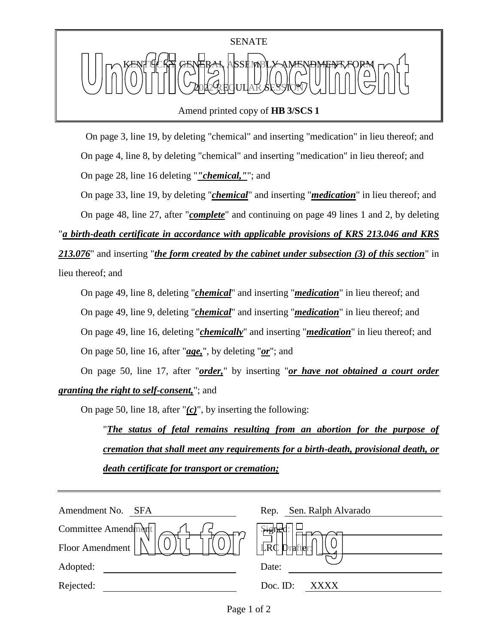

Amend printed copy of **HB 3/SCS 1**

 On page 3, line 19, by deleting "chemical" and inserting "medication" in lieu thereof; and On page 4, line 8, by deleting "chemical" and inserting "medication" in lieu thereof; and On page 28, line 16 deleting "*"chemical,"*"; and

On page 33, line 19, by deleting "*chemical*" and inserting "*medication*" in lieu thereof; and

On page 48, line 27, after "*complete*" and continuing on page 49 lines 1 and 2, by deleting

"*a birth-death certificate in accordance with applicable provisions of KRS 213.046 and KRS* 

*213.076*" and inserting "*the form created by the cabinet under subsection (3) of this section*" in lieu thereof; and

On page 49, line 8, deleting "*chemical*" and inserting "*medication*" in lieu thereof; and On page 49, line 9, deleting "*chemical*" and inserting "*medication*" in lieu thereof; and On page 49, line 16, deleting "*chemically*" and inserting "*medication*" in lieu thereof; and On page 50, line 16, after "*age,*", by deleting "*or*"; and

On page 50, line 17, after "*order,*" by inserting "*or have not obtained a court order granting the right to self-consent,*"; and

On page 50, line 18, after "*(c)*", by inserting the following:

"*The status of fetal remains resulting from an abortion for the purpose of cremation that shall meet any requirements for a birth-death, provisional death, or death certificate for transport or cremation;*

| Amendment No.<br>SFA | Sen. Ralph Alvarado<br>Rep. |
|----------------------|-----------------------------|
| Committee Amendment  | नेम्ह                       |
| Floor Amendment      | LRC Drafter                 |
| Adopted:             | Date:                       |
| Rejected:            | Doc. ID:<br>XXXX            |